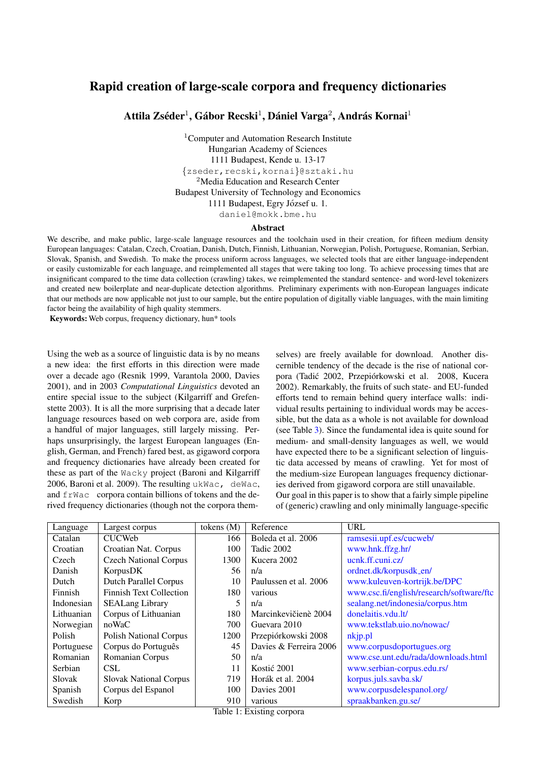# Rapid creation of large-scale corpora and frequency dictionaries

Attila Zséder<sup>1</sup>, Gábor Recski<sup>1</sup>, Dániel Varga<sup>2</sup>, András Kornai<sup>1</sup>

<sup>1</sup>Computer and Automation Research Institute Hungarian Academy of Sciences 1111 Budapest, Kende u. 13-17 {zseder,recski,kornai}@sztaki.hu <sup>2</sup>Media Education and Research Center Budapest University of Technology and Economics 1111 Budapest, Egry József u. 1. daniel@mokk.bme.hu

#### Abstract

We describe, and make public, large-scale language resources and the toolchain used in their creation, for fifteen medium density European languages: Catalan, Czech, Croatian, Danish, Dutch, Finnish, Lithuanian, Norwegian, Polish, Portuguese, Romanian, Serbian, Slovak, Spanish, and Swedish. To make the process uniform across languages, we selected tools that are either language-independent or easily customizable for each language, and reimplemented all stages that were taking too long. To achieve processing times that are insignificant compared to the time data collection (crawling) takes, we reimplemented the standard sentence- and word-level tokenizers and created new boilerplate and near-duplicate detection algorithms. Preliminary experiments with non-European languages indicate that our methods are now applicable not just to our sample, but the entire population of digitally viable languages, with the main limiting factor being the availability of high quality stemmers.

Keywords: Web corpus, frequency dictionary, hun\* tools

Using the web as a source of linguistic data is by no means a new idea: the first efforts in this direction were made over a decade ago (Resnik 1999, Varantola 2000, Davies 2001), and in 2003 *Computational Linguistics* devoted an entire special issue to the subject (Kilgarriff and Grefenstette 2003). It is all the more surprising that a decade later language resources based on web corpora are, aside from a handful of major languages, still largely missing. Perhaps unsurprisingly, the largest European languages (English, German, and French) fared best, as gigaword corpora and frequency dictionaries have already been created for these as part of the Wacky project (Baroni and Kilgarriff 2006, Baroni et al. 2009). The resulting ukWac, deWac, and frWac corpora contain billions of tokens and the derived frequency dictionaries (though not the corpora themselves) are freely available for download. Another discernible tendency of the decade is the rise of national corpora (Tadić 2002, Przepiórkowski et al. 2008, Kucera 2002). Remarkably, the fruits of such state- and EU-funded efforts tend to remain behind query interface walls: individual results pertaining to individual words may be accessible, but the data as a whole is not available for download (see Table [3\)](#page-2-0). Since the fundamental idea is quite sound for medium- and small-density languages as well, we would have expected there to be a significant selection of linguistic data accessed by means of crawling. Yet for most of the medium-size European languages frequency dictionaries derived from gigaword corpora are still unavailable. Our goal in this paper is to show that a fairly simple pipeline of (generic) crawling and only minimally language-specific

|            |                                | tokens $(M)$ | Reference              | <b>URL</b>                               |
|------------|--------------------------------|--------------|------------------------|------------------------------------------|
| Language   | Largest corpus                 |              |                        |                                          |
| Catalan    | <b>CUCWeb</b>                  | 166          | Boleda et al. 2006     | ramsesii.upf.es/cucweb/                  |
| Croatian   | Croatian Nat. Corpus           | 100          | Tadic 2002             | www.hnk.ffzg.hr/                         |
| Czech      | <b>Czech National Corpus</b>   | 1300         | Kucera 2002            | ucnk.ff.cuni.cz/                         |
| Danish     | KorpusDK                       | 56           | n/a                    | ordnet.dk/korpusdk_en/                   |
| Dutch      | <b>Dutch Parallel Corpus</b>   | 10           | Paulussen et al. 2006  | www.kuleuven-kortrijk.be/DPC             |
| Finnish    | <b>Finnish Text Collection</b> | 180          | various                | www.csc.fi/english/research/software/ftc |
| Indonesian | <b>SEALang Library</b>         | 5            | n/a                    | sealang.net/indonesia/corpus.htm         |
| Lithuanian | Corpus of Lithuanian           | 180          | Marcinkevičienè 2004   | donelaitis.ydu.lt/                       |
| Norwegian  | noWaC                          | 700          | Guevara 2010           | www.tekstlab.uio.no/nowac/               |
| Polish     | <b>Polish National Corpus</b>  | 1200         | Przepiórkowski 2008    | nkjp.pl                                  |
| Portuguese | Corpus do Português            | 45           | Davies & Ferreira 2006 | www.corpusdoportugues.org                |
| Romanian   | Romanian Corpus                | 50           | n/a                    | www.cse.unt.edu/rada/downloads.html      |
| Serbian    | <b>CSL</b>                     | 11           | Kostić 2001            | www.serbian-corpus.edu.rs/               |
| Slovak     | <b>Slovak National Corpus</b>  | 719          | Horák et al. 2004      | korpus.juls.savba.sk/                    |
| Spanish    | Corpus del Espanol             | 100          | Davies 2001            | www.corpusdelespanol.org/                |
| Swedish    | Korp                           | 910          | various                | spraakbanken.gu.se/                      |

Table 1: Existing corpora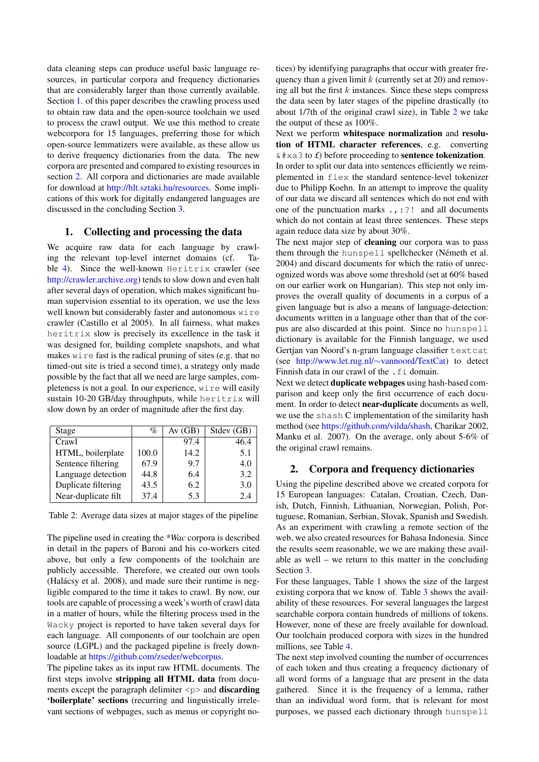data cleaning steps can produce useful basic language resources, in particular corpora and frequency dictionaries that are considerably larger than those currently available. Section [1.](#page-1-0) of this paper describes the crawling process used to obtain raw data and the open-source toolchain we used to process the crawl output. We use this method to create webcorpora for 15 languages, preferring those for which open-source lemmatizers were available, as these allow us to derive frequency dictionaries from the data. The new corpora are presented and compared to existing resources in section [2.](#page-1-1) All corpora and dictionaries are made available for download at [http://hlt.sztaki.hu/resources.](http://hlt.sztaki.hu/resources) Some implications of this work for digitally endangered languages are discussed in the concluding Section [3.](#page-2-1)

## <span id="page-1-0"></span>1. Collecting and processing the data

We acquire raw data for each language by crawling the relevant top-level internet domains (cf. Ta-ble [4\)](#page-2-2). Since the well-known Heritrix crawler (see [http://crawler.archive.org\)](http://crawler.archive.org) tends to slow down and even halt after several days of operation, which makes significant human supervision essential to its operation, we use the less well known but considerably faster and autonomous wire crawler (Castillo et al 2005). In all fairness, what makes heritrix slow is precisely its excellence in the task it was designed for, building complete snapshots, and what makes wire fast is the radical pruning of sites (e.g. that no timed-out site is tried a second time), a strategy only made possible by the fact that all we need are large samples, completeness is not a goal. In our experience, wire will easily sustain 10-20 GB/day throughputs, while heritrix will slow down by an order of magnitude after the first day.

| Stage               | %     | Av(GB) | Stdev (GB) |
|---------------------|-------|--------|------------|
| Crawl               |       | 97.4   | 46.4       |
| HTML, boilerplate   | 100.0 | 14.2   | 5.1        |
| Sentence filtering  | 67.9  | 9.7    | 4.0        |
| Language detection  | 44.8  | 6.4    | 3.2        |
| Duplicate filtering | 43.5  | 6.2    | 3.0        |
| Near-duplicate filt | 37.4  | 5.3    | 2.4        |

<span id="page-1-2"></span>Table 2: Average data sizes at major stages of the pipeline

The pipeline used in creating the *\*Wac* corpora is described in detail in the papers of Baroni and his co-workers cited above, but only a few components of the toolchain are publicly accessible. Therefore, we created our own tools (Halácsy et al. 2008), and made sure their runtime is negligible compared to the time it takes to crawl. By now, our tools are capable of processing a week's worth of crawl data in a matter of hours, while the filtering process used in the Wacky project is reported to have taken several days for each language. All components of our toolchain are open source (LGPL) and the packaged pipeline is freely downloadable at [https://github.com/zseder/webcorpus.](https://github.com/zseder/webcorpus)

The pipeline takes as its input raw HTML documents. The first steps involve stripping all HTML data from documents except the paragraph delimiter  $\langle p \rangle$  and **discarding** 'boilerplate' sections (recurring and linguistically irrelevant sections of webpages, such as menus or copyright notices) by identifying paragraphs that occur with greater frequency than a given limit  $k$  (currently set at 20) and removing all but the first  $k$  instances. Since these steps compress the data seen by later stages of the pipeline drastically (to about 1/7th of the original crawl size), in Table [2](#page-1-2) we take the output of these as 100%.

Next we perform whitespace normalization and resolution of HTML character references, e.g. converting  $& # \times a \cdot 3$  to *£*) before proceeding to **sentence tokenization**. In order to split our data into sentences efficiently we reimplemented in flex the standard sentence-level tokenizer due to Philipp Koehn. In an attempt to improve the quality of our data we discard all sentences which do not end with one of the punctuation marks .,:?! and all documents which do not contain at least three sentences. These steps again reduce data size by about 30%.

The next major step of cleaning our corpora was to pass them through the hunspell spellchecker (Németh et al. 2004) and discard documents for which the ratio of unrecognized words was above some threshold (set at 60% based on our earlier work on Hungarian). This step not only improves the overall quality of documents in a corpus of a given language but is also a means of language-detection: documents written in a language other than that of the corpus are also discarded at this point. Since no hunspell dictionary is available for the Finnish language, we used Gertjan van Noord's n-gram language classifier textcat (see [http://www.let.rug.nl/](http://www.let.rug.nl/~vannoord/TextCat)∼vannoord/TextCat) to detect Finnish data in our crawl of the . fi domain.

Next we detect duplicate webpages using hash-based comparison and keep only the first occurrence of each document. In order to detect near-duplicate documents as well, we use the shash C implementation of the similarity hash method (see [https://github.com/vilda/shash,](https://github.com/vilda/shash) Charikar 2002, Manku et al. 2007). On the average, only about 5-6% of the original crawl remains.

#### <span id="page-1-1"></span>2. Corpora and frequency dictionaries

Using the pipeline described above we created corpora for 15 European languages: Catalan, Croatian, Czech, Danish, Dutch, Finnish, Lithuanian, Norwegian, Polish, Portuguese, Romanian, Serbian, Slovak, Spanish and Swedish. As an experiment with crawling a remote section of the web, we also created resources for Bahasa Indonesia. Since the results seem reasonable, we we are making these available as well – we return to this matter in the concluding Section [3.](#page-2-1)

For these languages, Table 1 shows the size of the largest existing corpora that we know of. Table [3](#page-2-0) shows the availability of these resources. For several languages the largest searchable corpora contain hundreds of millions of tokens. However, none of these are freely available for download. Our toolchain produced corpora with sizes in the hundred millions, see Table [4.](#page-2-2)

The next step involved counting the number of occurrences of each token and thus creating a frequency dictionary of all word forms of a language that are present in the data gathered. Since it is the frequency of a lemma, rather than an individual word form, that is relevant for most purposes, we passed each dictionary through hunspell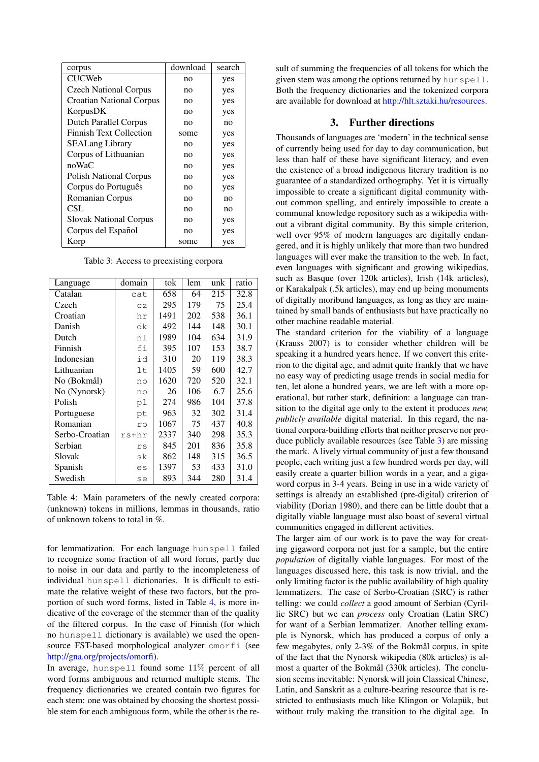| corpus                         | download | search |  |
|--------------------------------|----------|--------|--|
| <b>CUCWeb</b>                  | no       | yes    |  |
| <b>Czech National Corpus</b>   | no       | yes    |  |
| Croatian National Corpus       | no       | yes    |  |
| KorpusDK                       | no       | yes    |  |
| <b>Dutch Parallel Corpus</b>   | no       | no     |  |
| <b>Finnish Text Collection</b> | some     | yes    |  |
| <b>SEALang Library</b>         | no       | yes    |  |
| Corpus of Lithuanian           | no       | yes    |  |
| noWaC                          | no       | yes    |  |
| <b>Polish National Corpus</b>  | no       | yes    |  |
| Corpus do Português            | no       | yes    |  |
| Romanian Corpus                | no       | no     |  |
| CSL                            | no       | no     |  |
| <b>Slovak National Corpus</b>  | no       | yes    |  |
| Corpus del Español             | no       | yes    |  |
| Korp                           | some     | yes    |  |

<span id="page-2-0"></span>Table 3: Access to preexisting corpora

| Language       | domain | tok  | lem | unk | ratio |
|----------------|--------|------|-----|-----|-------|
| Catalan        | cat    | 658  | 64  | 215 | 32.8  |
| Czech          | CZ     | 295  | 179 | 75  | 25.4  |
| Croatian       | hr     | 1491 | 202 | 538 | 36.1  |
| Danish         | dk     | 492  | 144 | 148 | 30.1  |
| Dutch          | nl     | 1989 | 104 | 634 | 31.9  |
| Finnish        | fi     | 395  | 107 | 153 | 38.7  |
| Indonesian     | id     | 310  | 20  | 119 | 38.3  |
| Lithuanian     | lt     | 1405 | 59  | 600 | 42.7  |
| No (Bokmål)    | no     | 1620 | 720 | 520 | 32.1  |
| No (Nynorsk)   | no     | 26   | 106 | 6.7 | 25.6  |
| Polish         | рl     | 274  | 986 | 104 | 37.8  |
| Portuguese     | pt     | 963  | 32  | 302 | 31.4  |
| Romanian       | ro     | 1067 | 75  | 437 | 40.8  |
| Serbo-Croatian | rs+hr  | 2337 | 340 | 298 | 35.3  |
| Serbian        | rs     | 845  | 201 | 836 | 35.8  |
| Slovak         | sk     | 862  | 148 | 315 | 36.5  |
| Spanish        | es     | 1397 | 53  | 433 | 31.0  |
| Swedish        | se     | 893  | 344 | 280 | 31.4  |

<span id="page-2-2"></span>Table 4: Main parameters of the newly created corpora: (unknown) tokens in millions, lemmas in thousands, ratio of unknown tokens to total in %.

for lemmatization. For each language hunspell failed to recognize some fraction of all word forms, partly due to noise in our data and partly to the incompleteness of individual hunspell dictionaries. It is difficult to estimate the relative weight of these two factors, but the proportion of such word forms, listed in Table [4,](#page-2-2) is more indicative of the coverage of the stemmer than of the quality of the filtered corpus. In the case of Finnish (for which no hunspell dictionary is available) we used the opensource FST-based morphological analyzer omorfi (see [http://gna.org/projects/omorfi\)](http://gna.org/projects/omorfi/).

In average, hunspell found some 11% percent of all word forms ambiguous and returned multiple stems. The frequency dictionaries we created contain two figures for each stem: one was obtained by choosing the shortest possible stem for each ambiguous form, while the other is the result of summing the frequencies of all tokens for which the given stem was among the options returned by hunspell. Both the frequency dictionaries and the tokenized corpora are available for download at [http://hlt.sztaki.hu/resources.](http://hlt.sztaki.hu/resources)

### 3. Further directions

<span id="page-2-1"></span>Thousands of languages are 'modern' in the technical sense of currently being used for day to day communication, but less than half of these have significant literacy, and even the existence of a broad indigenous literary tradition is no guarantee of a standardized orthography. Yet it is virtually impossible to create a significant digital community without common spelling, and entirely impossible to create a communal knowledge repository such as a wikipedia without a vibrant digital community. By this simple criterion, well over 95% of modern languages are digitally endangered, and it is highly unlikely that more than two hundred languages will ever make the transition to the web. In fact, even languages with significant and growing wikipedias, such as Basque (over 120k articles), Irish (14k articles), or Karakalpak (.5k articles), may end up being monuments of digitally moribund languages, as long as they are maintained by small bands of enthusiasts but have practically no other machine readable material.

The standard criterion for the viability of a language (Krauss 2007) is to consider whether children will be speaking it a hundred years hence. If we convert this criterion to the digital age, and admit quite frankly that we have no easy way of predicting usage trends in social media for ten, let alone a hundred years, we are left with a more operational, but rather stark, definition: a language can transition to the digital age only to the extent it produces *new, publicly available* digital material. In this regard, the national corpora-building efforts that neither preserve nor produce publicly available resources (see Table [3\)](#page-2-0) are missing the mark. A lively virtual community of just a few thousand people, each writing just a few hundred words per day, will easily create a quarter billion words in a year, and a gigaword corpus in 3-4 years. Being in use in a wide variety of settings is already an established (pre-digital) criterion of viability (Dorian 1980), and there can be little doubt that a digitally viable language must also boast of several virtual communities engaged in different activities.

The larger aim of our work is to pave the way for creating gigaword corpora not just for a sample, but the entire *population* of digitally viable languages. For most of the languages discussed here, this task is now trivial, and the only limiting factor is the public availability of high quality lemmatizers. The case of Serbo-Croatian (SRC) is rather telling: we could *collect* a good amount of Serbian (Cyrillic SRC) but we can *process* only Croatian (Latin SRC) for want of a Serbian lemmatizer. Another telling example is Nynorsk, which has produced a corpus of only a few megabytes, only  $2-3\%$  of the Bokmål corpus, in spite of the fact that the Nynorsk wikipedia (80k articles) is almost a quarter of the Bokmål (330k articles). The conclusion seems inevitable: Nynorsk will join Classical Chinese, Latin, and Sanskrit as a culture-bearing resource that is restricted to enthusiasts much like Klingon or Volapük, but without truly making the transition to the digital age. In